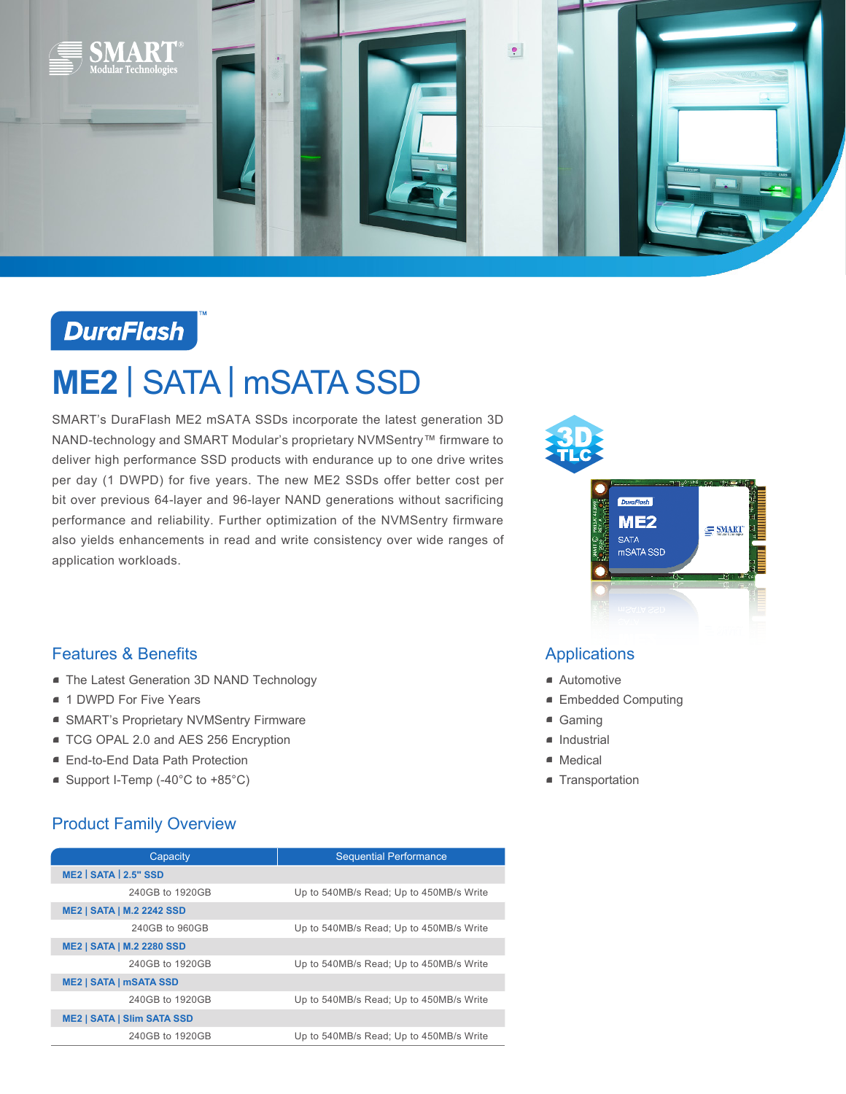

## **DuraFlash**

# **ME2** | SATA | mSATA SSD

SMART's DuraFlash ME2 mSATA SSDs incorporate the latest generation 3D NAND-technology and SMART Modular's proprietary NVMSentry™ firmware to deliver high performance SSD products with endurance up to one drive writes per day (1 DWPD) for five years. The new ME2 SSDs offer better cost per bit over previous 64-layer and 96-layer NAND generations without sacrificing performance and reliability. Further optimization of the NVMSentry firmware also yields enhancements in read and write consistency over wide ranges of application workloads.



### Features & Benefits

- **The Latest Generation 3D NAND Technology**
- 1 DWPD For Five Years
- SMART's Proprietary NVMSentry Firmware
- TCG OPAL 2.0 and AES 256 Encryption
- End-to-End Data Path Protection
- Support I-Temp (-40°C to +85°C)

### Product Family Overview

| Capacity                          | <b>Sequential Performance</b>           |
|-----------------------------------|-----------------------------------------|
| ME2 SATA 2.5" SSD                 |                                         |
| 240GB to 1920GB                   | Up to 540MB/s Read; Up to 450MB/s Write |
| <b>ME2   SATA   M.2 2242 SSD</b>  |                                         |
| 240GB to 960GB                    | Up to 540MB/s Read; Up to 450MB/s Write |
| <b>ME2   SATA   M.2 2280 SSD</b>  |                                         |
| 240GB to 1920GB                   | Up to 540MB/s Read; Up to 450MB/s Write |
| <b>ME2   SATA   mSATA SSD</b>     |                                         |
| 240GB to 1920GB                   | Up to 540MB/s Read; Up to 450MB/s Write |
| <b>ME2   SATA   SIIm SATA SSD</b> |                                         |
| 240GB to 1920GB                   | Up to 540MB/s Read; Up to 450MB/s Write |

### **Applications**

- Automotive
- Embedded Computing
- Gaming
- Industrial
- Medical
- **Transportation**